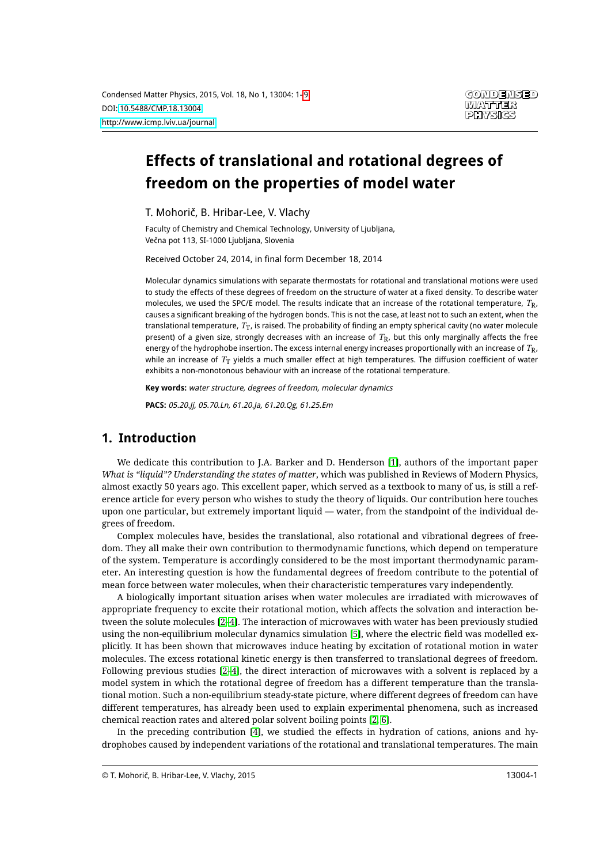# **Effects of translational and rotational degrees of freedom on the properties of model water**

T. Mohorič, B. Hribar-Lee, V. Vlachy

Faculty of Chemistry and Chemical Technology, University of Ljubljana, Večna pot 113, SI-1000 Ljubljana, Slovenia

Received October 24, 2014, in final form December 18, 2014

Molecular dynamics simulations with separate thermostats for rotational and translational motions were used to study the effects of these degrees of freedom on the structure of water at a fixed density. To describe water molecules, we used the SPC/E model. The results indicate that an increase of the rotational temperature, *T*R, causes a significant breaking of the hydrogen bonds. This is not the case, at least not to such an extent, when the translational temperature, *T*T, is raised. The probability of finding an empty spherical cavity (no water molecule present) of a given size, strongly decreases with an increase of  $T_R$ , but this only marginally affects the free energy of the hydrophobe insertion. The excess internal energy increases proportionally with an increase of *T*R, while an increase of  $T<sub>T</sub>$  yields a much smaller effect at high temperatures. The diffusion coefficient of water exhibits a non-monotonous behaviour with an increase of the rotational temperature.

**Key words:** water structure, degrees of freedom, molecular dynamics

**PACS:** 05.20.Jj, 05.70.Ln, 61.20.Ja, 61.20.Qg, 61.25.Em

### **1. Introduction**

We dedicate this contribution to J.A. Barker and D. Henderson [\[1\]](#page-8-1), authors of the important paper *What is "liquid"? Understanding the states of matter*, which was published in Reviews of Modern Physics, almost exactly 50 years ago. This excellent paper, which served as a textbook to many of us, is still a reference article for every person who wishes to study the theory of liquids. Our contribution here touches upon one particular, but extremely important liquid — water, from the standpoint of the individual degrees of freedom.

Complex molecules have, besides the translational, also rotational and vibrational degrees of freedom. They all make their own contribution to thermodynamic functions, which depend on temperature of the system. Temperature is accordingly considered to be the most important thermodynamic parameter. An interesting question is how the fundamental degrees of freedom contribute to the potential of mean force between water molecules, when their characteristic temperatures vary independently.

A biologically important situation arises when water molecules are irradiated with microwaves of appropriate frequency to excite their rotational motion, which affects the solvation and interaction between the solute molecules [\[2–](#page-8-2)[4\]](#page-8-3). The interaction of microwaves with water has been previously studied using the non-equilibrium molecular dynamics simulation [\[5\]](#page-8-4), where the electric field was modelled explicitly. It has been shown that microwaves induce heating by excitation of rotational motion in water molecules. The excess rotational kinetic energy is then transferred to translational degrees of freedom. Following previous studies [\[2–](#page-8-2)[4\]](#page-8-3), the direct interaction of microwaves with a solvent is replaced by a model system in which the rotational degree of freedom has a different temperature than the translational motion. Such a non-equilibrium steady-state picture, where different degrees of freedom can have different temperatures, has already been used to explain experimental phenomena, such as increased chemical reaction rates and altered polar solvent boiling points [\[2,](#page-8-2) [6\]](#page-8-5).

In the preceding contribution [\[4\]](#page-8-3), we studied the effects in hydration of cations, anions and hydrophobes caused by independent variations of the rotational and translational temperatures. The main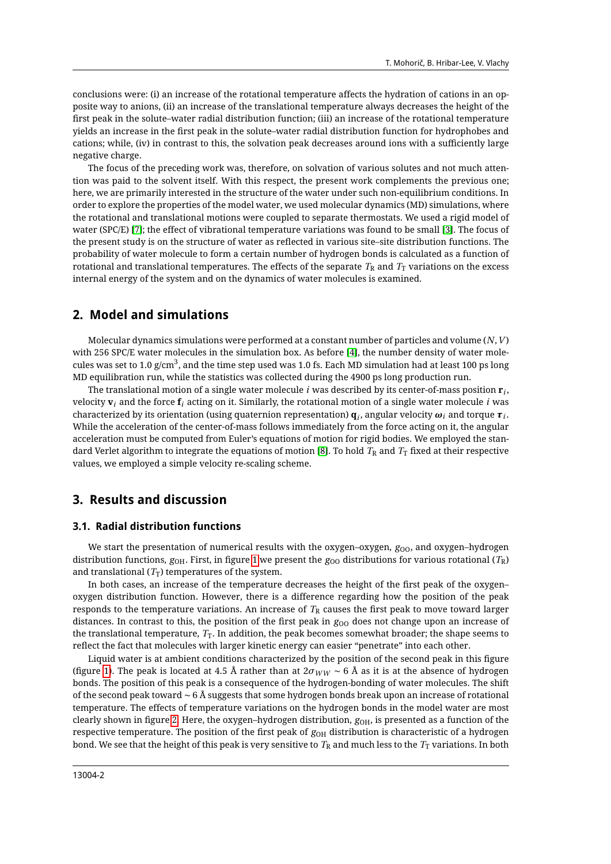conclusions were: (i) an increase of the rotational temperature affects the hydration of cations in an opposite way to anions, (ii) an increase of the translational temperature always decreases the height of the first peak in the solute–water radial distribution function; (iii) an increase of the rotational temperature yields an increase in the first peak in the solute–water radial distribution function for hydrophobes and cations; while, (iv) in contrast to this, the solvation peak decreases around ions with a sufficiently large negative charge.

The focus of the preceding work was, therefore, on solvation of various solutes and not much attention was paid to the solvent itself. With this respect, the present work complements the previous one; here, we are primarily interested in the structure of the water under such non-equilibrium conditions. In order to explore the properties of the model water, we used molecular dynamics (MD) simulations, where the rotational and translational motions were coupled to separate thermostats. We used a rigid model of water (SPC/E) [\[7\]](#page-8-6); the effect of vibrational temperature variations was found to be small [\[3\]](#page-8-7). The focus of the present study is on the structure of water as reflected in various site–site distribution functions. The probability of water molecule to form a certain number of hydrogen bonds is calculated as a function of rotational and translational temperatures. The effects of the separate  $T_R$  and  $T_T$  variations on the excess internal energy of the system and on the dynamics of water molecules is examined.

### **2. Model and simulations**

Molecular dynamics simulations were performed at a constant number of particles and volume (*N*,*V* ) with 256 SPC/E water molecules in the simulation box. As before [\[4\]](#page-8-3), the number density of water molecules was set to 1.0 g/cm $^3$ , and the time step used was 1.0 fs. Each MD simulation had at least 100 ps long MD equilibration run, while the statistics was collected during the 4900 ps long production run.

The translational motion of a single water molecule *i* was described by its center-of-mass position **r***<sup>i</sup>* , velocity  $\mathbf{v}_i$  and the force  $\mathbf{f}_i$  acting on it. Similarly, the rotational motion of a single water molecule *i* was  $c$ haracterized by its orientation (using quaternion representation)  $\mathbf{q}_i$ , angular velocity  $\bm{\omega}_i$  and torque  $\bm{\tau}_i$ . While the acceleration of the center-of-mass follows immediately from the force acting on it, the angular acceleration must be computed from Euler's equations of motion for rigid bodies. We employed the stan-dard Verlet algorithm to integrate the equations of motion [\[8\]](#page-8-8). To hold  $T_R$  and  $T_T$  fixed at their respective values, we employed a simple velocity re-scaling scheme.

### **3. Results and discussion**

#### **3.1. Radial distribution functions**

We start the presentation of numerical results with the oxygen–oxygen, *g*<sub>OO</sub>, and oxygen–hydrogen distribution functions,  $g_{OH}$ . First, in figure [1](#page-2-0) we present the  $g_{OO}$  distributions for various rotational ( $T_R$ ) and translational  $(T_T)$  temperatures of the system.

In both cases, an increase of the temperature decreases the height of the first peak of the oxygen– oxygen distribution function. However, there is a difference regarding how the position of the peak responds to the temperature variations. An increase of  $T_R$  causes the first peak to move toward larger distances. In contrast to this, the position of the first peak in  $g_{00}$  does not change upon an increase of the translational temperature,  $T_T$ . In addition, the peak becomes somewhat broader; the shape seems to reflect the fact that molecules with larger kinetic energy can easier "penetrate" into each other.

Liquid water is at ambient conditions characterized by the position of the second peak in this figure (figure [1\)](#page-2-0). The peak is located at 4.5 Å rather than at  $2\sigma_{WW} \sim 6$  Å as it is at the absence of hydrogen bonds. The position of this peak is a consequence of the hydrogen-bonding of water molecules. The shift of the second peak toward ∼ 6 Å suggests that some hydrogen bonds break upon an increase of rotational temperature. The effects of temperature variations on the hydrogen bonds in the model water are most clearly shown in figure [2.](#page-2-1) Here, the oxygen-hydrogen distribution,  $g_{OH}$ , is presented as a function of the respective temperature. The position of the first peak of  $g<sub>OH</sub>$  distribution is characteristic of a hydrogen bond. We see that the height of this peak is very sensitive to  $T_R$  and much less to the  $T_T$  variations. In both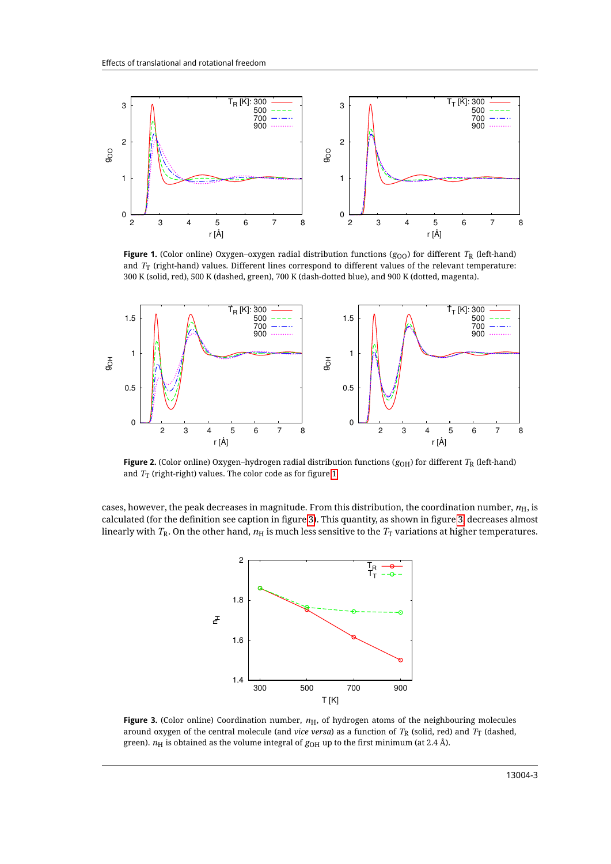<span id="page-2-0"></span>

**Figure 1.** (Color online) Oxygen–oxygen radial distribution functions ( $g_{00}$ ) for different  $T_R$  (left-hand) and *T*<sup>T</sup> (right-hand) values. Different lines correspond to different values of the relevant temperature: 300 K (solid, red), 500 K (dashed, green), 700 K (dash-dotted blue), and 900 K (dotted, magenta).

<span id="page-2-1"></span>

**Figure 2.** (Color online) Oxygen–hydrogen radial distribution functions ( $g_{OH}$ ) for different  $T_R$  (left-hand) and *T*<sub>T</sub> (right-right) values. The color code as for figure [1.](#page-2-0)

<span id="page-2-2"></span>cases, however, the peak decreases in magnitude. From this distribution, the coordination number,  $n<sub>H</sub>$ , is calculated (for the definition see caption in figure [3\)](#page-2-2). This quantity, as shown in figure [3,](#page-2-2) decreases almost linearly with  $T_R$ . On the other hand,  $n_H$  is much less sensitive to the  $T_T$  variations at higher temperatures.



**Figure 3.** (Color online) Coordination number,  $n<sub>H</sub>$ , of hydrogen atoms of the neighbouring molecules around oxygen of the central molecule (and *vice versa*) as a function of  $T_R$  (solid, red) and  $T_T$  (dashed, green).  $n_H$  is obtained as the volume integral of  $g_{OH}$  up to the first minimum (at 2.4 Å).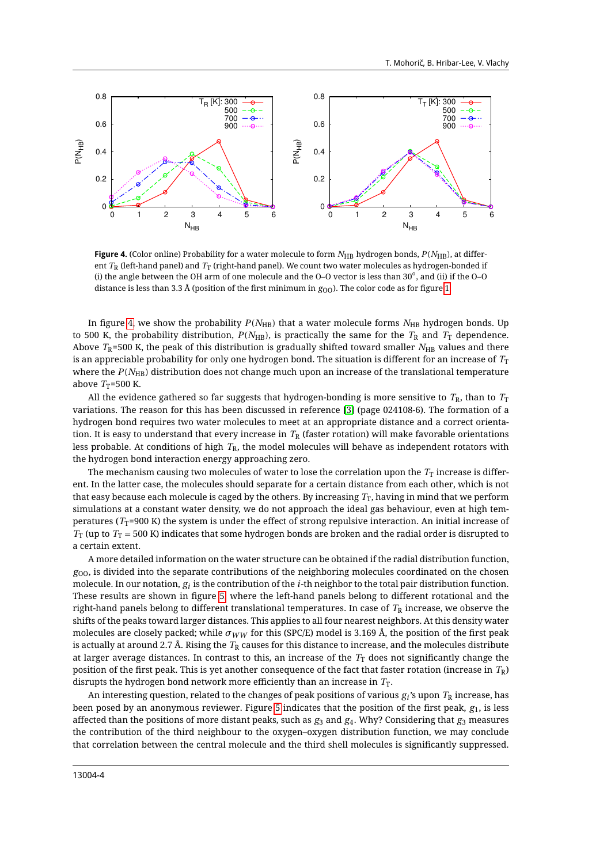<span id="page-3-0"></span>

Figure 4. (Color online) Probability for a water molecule to form  $N_{\rm HB}$  hydrogen bonds,  $P(N_{\rm HB})$ , at different *T*<sup>R</sup> (left-hand panel) and *T*<sup>T</sup> (right-hand panel). We count two water molecules as hydrogen-bonded if (i) the angle between the OH arm of one molecule and the O–O vector is less than <sup>30</sup>◦ , and (ii) if the O–O distance is less than 3.3 Å (position of the first minimum in  $g_{\Omega}$ ). The color code as for figure [1.](#page-2-0)

In figure [4,](#page-3-0) we show the probability  $P(N_{\rm HB})$  that a water molecule forms  $N_{\rm HB}$  hydrogen bonds. Up to 500 K, the probability distribution,  $P(N_{\text{HB}})$ , is practically the same for the  $T_R$  and  $T_T$  dependence. Above  $T_{\rm R}$ =500 K, the peak of this distribution is gradually shifted toward smaller  $N_{\rm HB}$  values and there is an appreciable probability for only one hydrogen bond. The situation is different for an increase of  $T_\mathrm{T}$ where the *P*(*N*<sub>HB</sub>) distribution does not change much upon an increase of the translational temperature above  $T_T$ =500 K.

All the evidence gathered so far suggests that hydrogen-bonding is more sensitive to  $T_R$ , than to  $T_T$ variations. The reason for this has been discussed in reference [\[3\]](#page-8-7) (page 024108-6). The formation of a hydrogen bond requires two water molecules to meet at an appropriate distance and a correct orientation. It is easy to understand that every increase in  $T_R$  (faster rotation) will make favorable orientations less probable. At conditions of high *T*R, the model molecules will behave as independent rotators with the hydrogen bond interaction energy approaching zero.

The mechanism causing two molecules of water to lose the correlation upon the  $T<sub>T</sub>$  increase is different. In the latter case, the molecules should separate for a certain distance from each other, which is not that easy because each molecule is caged by the others. By increasing  $T_T$ , having in mind that we perform simulations at a constant water density, we do not approach the ideal gas behaviour, even at high temperatures (*T*<sub>T</sub>=900 K) the system is under the effect of strong repulsive interaction. An initial increase of  $T_T$  (up to  $T_T$  = 500 K) indicates that some hydrogen bonds are broken and the radial order is disrupted to a certain extent.

A more detailed information on the water structure can be obtained if the radial distribution function,  $g_{00}$ , is divided into the separate contributions of the neighboring molecules coordinated on the chosen molecule. In our notation,  $g_i$  is the contribution of the *i*-th neighbor to the total pair distribution function. These results are shown in figure [5,](#page-4-0) where the left-hand panels belong to different rotational and the right-hand panels belong to different translational temperatures. In case of  $T_R$  increase, we observe the shifts of the peaks toward larger distances. This applies to all four nearest neighbors. At this density water molecules are closely packed; while  $\sigma_{WW}$  for this (SPC/E) model is 3.169 Å, the position of the first peak is actually at around 2.7 Å. Rising the  $T_R$  causes for this distance to increase, and the molecules distribute at larger average distances. In contrast to this, an increase of the  $T<sub>T</sub>$  does not significantly change the position of the first peak. This is yet another consequence of the fact that faster rotation (increase in *T*R) disrupts the hydrogen bond network more efficiently than an increase in  $T_T$ .

An interesting question, related to the changes of peak positions of various  $g_i$ 's upon  $T_\mathrm{R}$  increase, has been posed by an anonymous reviewer. Figure [5](#page-4-0) indicates that the position of the first peak, *g*1, is less affected than the positions of more distant peaks, such as *g*<sup>3</sup> and *g*4. Why? Considering that *g*<sup>3</sup> measures the contribution of the third neighbour to the oxygen–oxygen distribution function, we may conclude that correlation between the central molecule and the third shell molecules is significantly suppressed.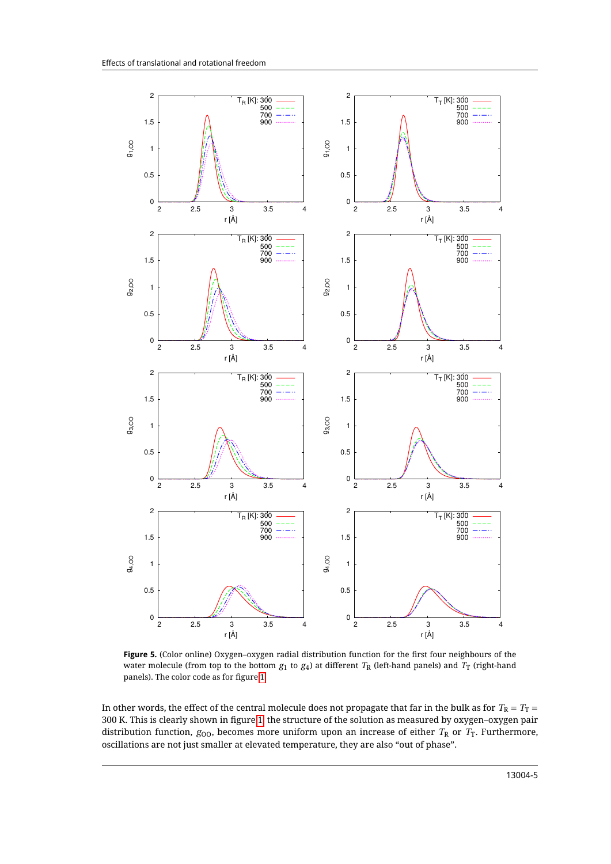<span id="page-4-0"></span>

**Figure 5.** (Color online) Oxygen–oxygen radial distribution function for the first four neighbours of the water molecule (from top to the bottom  $g_1$  to  $g_4$ ) at different  $T_R$  (left-hand panels) and  $T_T$  (right-hand panels). The color code as for figure [1.](#page-2-0)

In other words, the effect of the central molecule does not propagate that far in the bulk as for  $T_R = T_T$ 300 K. This is clearly shown in figure [1;](#page-2-0) the structure of the solution as measured by oxygen–oxygen pair distribution function,  $g_{00}$ , becomes more uniform upon an increase of either  $T_R$  or  $T_T$ . Furthermore, oscillations are not just smaller at elevated temperature, they are also "out of phase".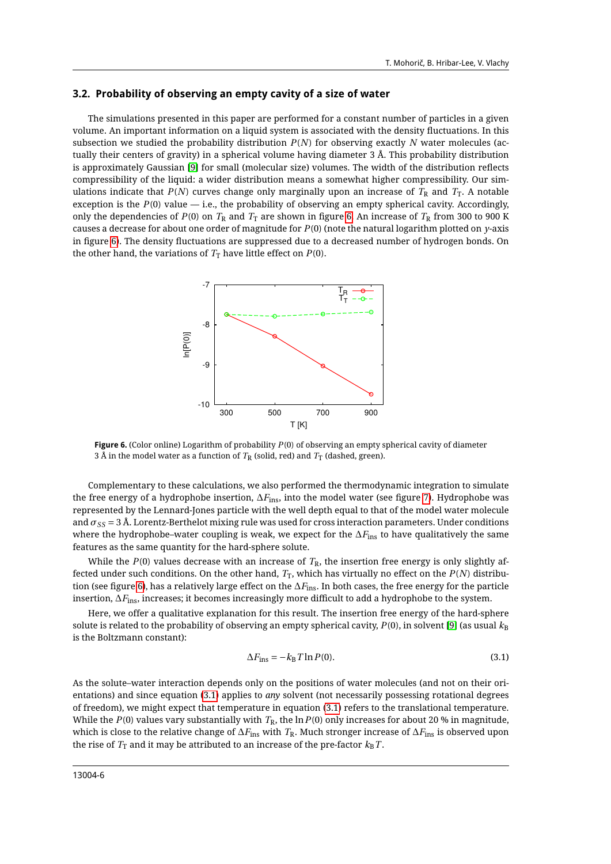#### **3.2. Probability of observing an empty cavity of a size of water**

The simulations presented in this paper are performed for a constant number of particles in a given volume. An important information on a liquid system is associated with the density fluctuations. In this subsection we studied the probability distribution *P*(*N*) for observing exactly *N* water molecules (actually their centers of gravity) in a spherical volume having diameter 3 Å. This probability distribution is approximately Gaussian [\[9\]](#page-8-9) for small (molecular size) volumes. The width of the distribution reflects compressibility of the liquid: a wider distribution means a somewhat higher compressibility. Our simulations indicate that  $P(N)$  curves change only marginally upon an increase of  $T_R$  and  $T_T$ . A notable exception is the  $P(0)$  value  $-$  i.e., the probability of observing an empty spherical cavity. Accordingly, only the dependencies of  $P(0)$  on  $T_R$  and  $T_T$  are shown in figure [6.](#page-5-0) An increase of  $T_R$  from 300 to 900 K causes a decrease for about one order of magnitude for *P*(0) (note the natural logarithm plotted on *y*-axis in figure [6\)](#page-5-0). The density fluctuations are suppressed due to a decreased number of hydrogen bonds. On the other hand, the variations of  $T<sub>T</sub>$  have little effect on  $P(0)$ .

<span id="page-5-0"></span>

**Figure 6.** (Color online) Logarithm of probability *P*(0) of observing an empty spherical cavity of diameter 3 Å in the model water as a function of  $T_R$  (solid, red) and  $T_T$  (dashed, green).

Complementary to these calculations, we also performed the thermodynamic integration to simulate the free energy of a hydrophobe insertion, ∆*F*ins, into the model water (see figure [7\)](#page-6-0). Hydrophobe was represented by the Lennard-Jones particle with the well depth equal to that of the model water molecule and *σSS* = 3 Å. Lorentz-Berthelot mixing rule was used for cross interaction parameters. Under conditions where the hydrophobe–water coupling is weak, we expect for the  $\Delta F_{\text{ins}}$  to have qualitatively the same features as the same quantity for the hard-sphere solute.

While the  $P(0)$  values decrease with an increase of  $T<sub>R</sub>$ , the insertion free energy is only slightly affected under such conditions. On the other hand,  $T_T$ , which has virtually no effect on the  $P(N)$  distribution (see figure [6\)](#page-5-0), has a relatively large effect on the ∆*F*ins. In both cases, the free energy for the particle insertion, ∆*F*ins, increases; it becomes increasingly more difficult to add a hydrophobe to the system.

Here, we offer a qualitative explanation for this result. The insertion free energy of the hard-sphere solute is related to the probability of observing an empty spherical cavity,  $P(0)$ , in solvent [\[9\]](#page-8-9) (as usual  $k_B$ is the Boltzmann constant):

<span id="page-5-1"></span>
$$
\Delta F_{\text{ins}} = -k_{\text{B}} T \ln P(0). \tag{3.1}
$$

As the solute–water interaction depends only on the positions of water molecules (and not on their orientations) and since equation [\(3.1\)](#page-5-1) applies to *any* solvent (not necessarily possessing rotational degrees of freedom), we might expect that temperature in equation [\(3.1\)](#page-5-1) refers to the translational temperature. While the  $P(0)$  values vary substantially with  $T_R$ , the  $\ln P(0)$  only increases for about 20 % in magnitude, which is close to the relative change of ∆*F*ins with *T*R. Much stronger increase of ∆*F*ins is observed upon the rise of  $T_T$  and it may be attributed to an increase of the pre-factor  $k_B T$ .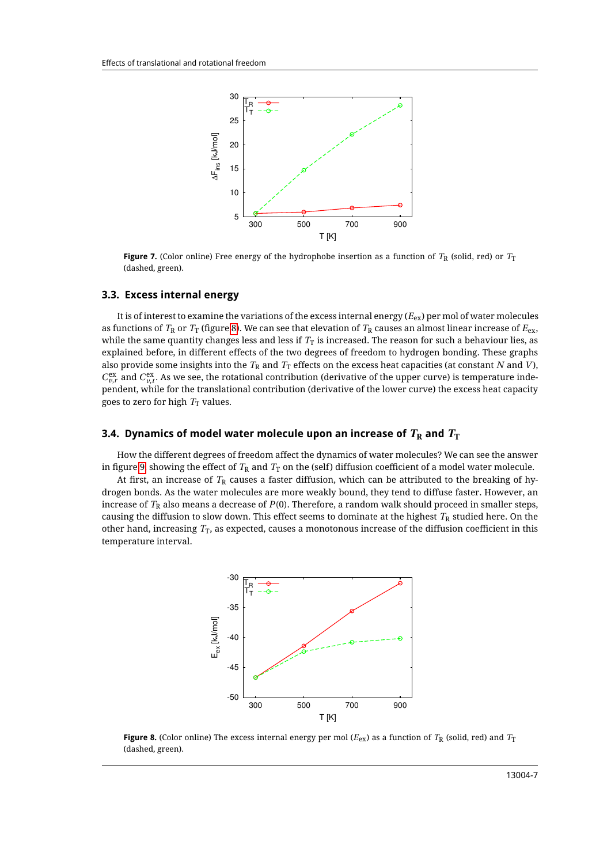<span id="page-6-0"></span>

**Figure 7.** (Color online) Free energy of the hydrophobe insertion as a function of  $T_R$  (solid, red) or  $T_T$ (dashed, green).

#### **3.3. Excess internal energy**

It is of interest to examine the variations of the excess internal energy (*E*ex) per mol of water molecules as functions of  $T_R$  or  $T_T$  (figure [8\)](#page-6-1). We can see that elevation of  $T_R$  causes an almost linear increase of  $E_{ex}$ , while the same quantity changes less and less if  $T<sub>T</sub>$  is increased. The reason for such a behaviour lies, as explained before, in different effects of the two degrees of freedom to hydrogen bonding. These graphs also provide some insights into the  $T_R$  and  $T_T$  effects on the excess heat capacities (at constant *N* and *V*),  $C_{v,r}^{\text{ex}}$  and  $C_{v,t}^{\text{ex}}$ . As we see, the rotational contribution (derivative of the upper curve) is temperature independent, while for the translational contribution (derivative of the lower curve) the excess heat capacity goes to zero for high  $T<sub>T</sub>$  values.

#### **3.4. Dynamics of model water molecule upon an increase of**  $T_R$  **and**  $T_T$

How the different degrees of freedom affect the dynamics of water molecules? We can see the answer in figure [9,](#page-7-0) showing the effect of  $T_R$  and  $T_T$  on the (self) diffusion coefficient of a model water molecule.

<span id="page-6-1"></span>At first, an increase of  $T_R$  causes a faster diffusion, which can be attributed to the breaking of hydrogen bonds. As the water molecules are more weakly bound, they tend to diffuse faster. However, an increase of  $T_R$  also means a decrease of  $P(0)$ . Therefore, a random walk should proceed in smaller steps, causing the diffusion to slow down. This effect seems to dominate at the highest  $T_R$  studied here. On the other hand, increasing  $T_T$ , as expected, causes a monotonous increase of the diffusion coefficient in this temperature interval.



**Figure 8.** (Color online) The excess internal energy per mol ( $E_{ex}$ ) as a function of  $T_R$  (solid, red) and  $T_T$ (dashed, green).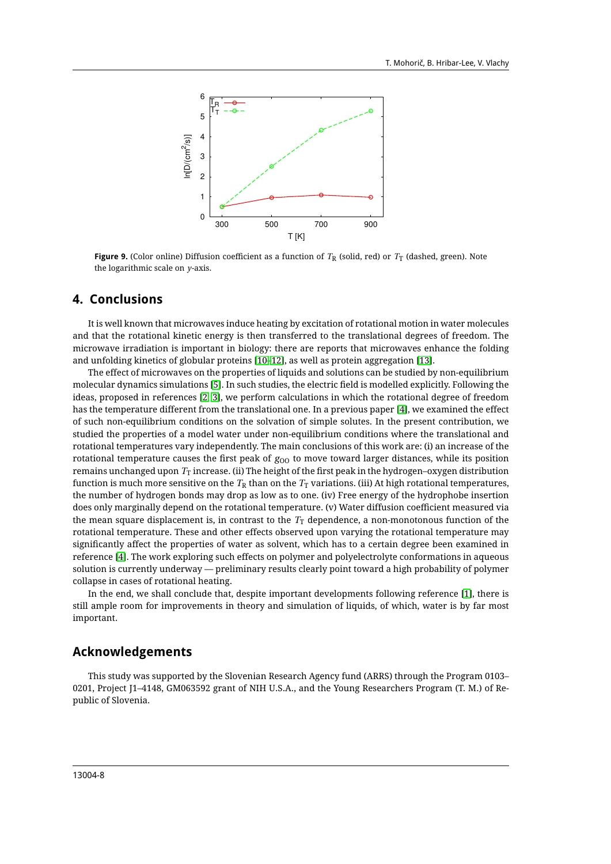<span id="page-7-0"></span>

**Figure 9.** (Color online) Diffusion coefficient as a function of  $T_R$  (solid, red) or  $T_T$  (dashed, green). Note the logarithmic scale on *y*-axis.

### **4. Conclusions**

It is well known that microwaves induce heating by excitation of rotational motion in water molecules and that the rotational kinetic energy is then transferred to the translational degrees of freedom. The microwave irradiation is important in biology: there are reports that microwaves enhance the folding and unfolding kinetics of globular proteins [\[10](#page-8-10)[–12\]](#page-8-11), as well as protein aggregation [\[13\]](#page-8-12).

The effect of microwaves on the properties of liquids and solutions can be studied by non-equilibrium molecular dynamics simulations [\[5\]](#page-8-4). In such studies, the electric field is modelled explicitly. Following the ideas, proposed in references [\[2,](#page-8-2) [3\]](#page-8-7), we perform calculations in which the rotational degree of freedom has the temperature different from the translational one. In a previous paper [\[4\]](#page-8-3), we examined the effect of such non-equilibrium conditions on the solvation of simple solutes. In the present contribution, we studied the properties of a model water under non-equilibrium conditions where the translational and rotational temperatures vary independently. The main conclusions of this work are: (i) an increase of the rotational temperature causes the first peak of  $g_{00}$  to move toward larger distances, while its position remains unchanged upon  $T<sub>T</sub>$  increase. (ii) The height of the first peak in the hydrogen–oxygen distribution function is much more sensitive on the  $T_R$  than on the  $T_T$  variations. (iii) At high rotational temperatures, the number of hydrogen bonds may drop as low as to one. (iv) Free energy of the hydrophobe insertion does only marginally depend on the rotational temperature. (v) Water diffusion coefficient measured via the mean square displacement is, in contrast to the  $T<sub>T</sub>$  dependence, a non-monotonous function of the rotational temperature. These and other effects observed upon varying the rotational temperature may significantly affect the properties of water as solvent, which has to a certain degree been examined in reference [\[4\]](#page-8-3). The work exploring such effects on polymer and polyelectrolyte conformations in aqueous solution is currently underway — preliminary results clearly point toward a high probability of polymer collapse in cases of rotational heating.

In the end, we shall conclude that, despite important developments following reference [\[1\]](#page-8-1), there is still ample room for improvements in theory and simulation of liquids, of which, water is by far most important.

### **Acknowledgements**

This study was supported by the Slovenian Research Agency fund (ARRS) through the Program 0103– 0201, Project J1–4148, GM063592 grant of NIH U.S.A., and the Young Researchers Program (T. M.) of Republic of Slovenia.